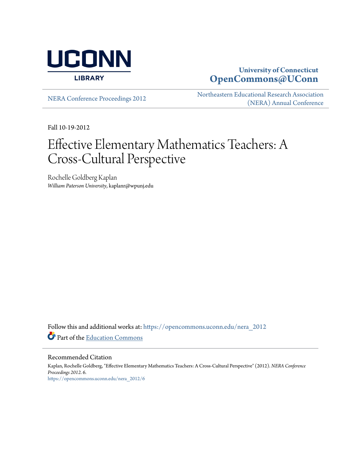

# **University of Connecticut [OpenCommons@UConn](https://opencommons.uconn.edu?utm_source=opencommons.uconn.edu%2Fnera_2012%2F6&utm_medium=PDF&utm_campaign=PDFCoverPages)**

[NERA Conference Proceedings 2012](https://opencommons.uconn.edu/nera_2012?utm_source=opencommons.uconn.edu%2Fnera_2012%2F6&utm_medium=PDF&utm_campaign=PDFCoverPages) [Northeastern Educational Research Association](https://opencommons.uconn.edu/nera?utm_source=opencommons.uconn.edu%2Fnera_2012%2F6&utm_medium=PDF&utm_campaign=PDFCoverPages) [\(NERA\) Annual Conference](https://opencommons.uconn.edu/nera?utm_source=opencommons.uconn.edu%2Fnera_2012%2F6&utm_medium=PDF&utm_campaign=PDFCoverPages)

Fall 10-19-2012

# Effective Elementary Mathematics Teachers: A Cross-Cultural Perspective

Rochelle Goldberg Kaplan *William Paterson University*, kaplanr@wpunj.edu

Follow this and additional works at: [https://opencommons.uconn.edu/nera\\_2012](https://opencommons.uconn.edu/nera_2012?utm_source=opencommons.uconn.edu%2Fnera_2012%2F6&utm_medium=PDF&utm_campaign=PDFCoverPages) Part of the [Education Commons](http://network.bepress.com/hgg/discipline/784?utm_source=opencommons.uconn.edu%2Fnera_2012%2F6&utm_medium=PDF&utm_campaign=PDFCoverPages)

Recommended Citation

Kaplan, Rochelle Goldberg, "Effective Elementary Mathematics Teachers: A Cross-Cultural Perspective" (2012). *NERA Conference Proceedings 2012*. 6. [https://opencommons.uconn.edu/nera\\_2012/6](https://opencommons.uconn.edu/nera_2012/6?utm_source=opencommons.uconn.edu%2Fnera_2012%2F6&utm_medium=PDF&utm_campaign=PDFCoverPages)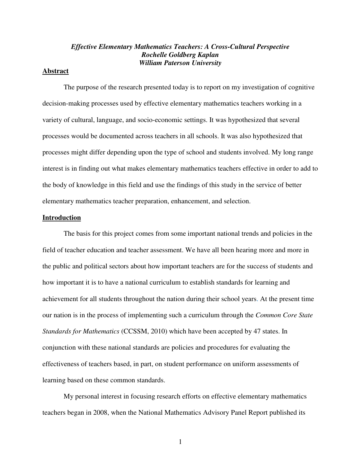### *Effective Elementary Mathematics Teachers: A Cross-Cultural Perspective Rochelle Goldberg Kaplan William Paterson University*

### **Abstract**

 The purpose of the research presented today is to report on my investigation of cognitive decision-making processes used by effective elementary mathematics teachers working in a variety of cultural, language, and socio-economic settings. It was hypothesized that several processes would be documented across teachers in all schools. It was also hypothesized that processes might differ depending upon the type of school and students involved. My long range interest is in finding out what makes elementary mathematics teachers effective in order to add to the body of knowledge in this field and use the findings of this study in the service of better elementary mathematics teacher preparation, enhancement, and selection.

### **Introduction**

 The basis for this project comes from some important national trends and policies in the field of teacher education and teacher assessment. We have all been hearing more and more in the public and political sectors about how important teachers are for the success of students and how important it is to have a national curriculum to establish standards for learning and achievement for all students throughout the nation during their school years. At the present time our nation is in the process of implementing such a curriculum through the *Common Core State Standards for Mathematics* (CCSSM, 2010) which have been accepted by 47 states. In conjunction with these national standards are policies and procedures for evaluating the effectiveness of teachers based, in part, on student performance on uniform assessments of learning based on these common standards.

 My personal interest in focusing research efforts on effective elementary mathematics teachers began in 2008, when the National Mathematics Advisory Panel Report published its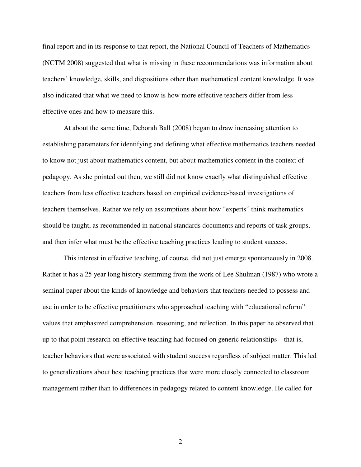final report and in its response to that report, the National Council of Teachers of Mathematics (NCTM 2008) suggested that what is missing in these recommendations was information about teachers' knowledge, skills, and dispositions other than mathematical content knowledge. It was also indicated that what we need to know is how more effective teachers differ from less effective ones and how to measure this.

At about the same time, Deborah Ball (2008) began to draw increasing attention to establishing parameters for identifying and defining what effective mathematics teachers needed to know not just about mathematics content, but about mathematics content in the context of pedagogy. As she pointed out then, we still did not know exactly what distinguished effective teachers from less effective teachers based on empirical evidence-based investigations of teachers themselves. Rather we rely on assumptions about how "experts" think mathematics should be taught, as recommended in national standards documents and reports of task groups, and then infer what must be the effective teaching practices leading to student success.

This interest in effective teaching, of course, did not just emerge spontaneously in 2008. Rather it has a 25 year long history stemming from the work of Lee Shulman (1987) who wrote a seminal paper about the kinds of knowledge and behaviors that teachers needed to possess and use in order to be effective practitioners who approached teaching with "educational reform" values that emphasized comprehension, reasoning, and reflection. In this paper he observed that up to that point research on effective teaching had focused on generic relationships – that is, teacher behaviors that were associated with student success regardless of subject matter. This led to generalizations about best teaching practices that were more closely connected to classroom management rather than to differences in pedagogy related to content knowledge. He called for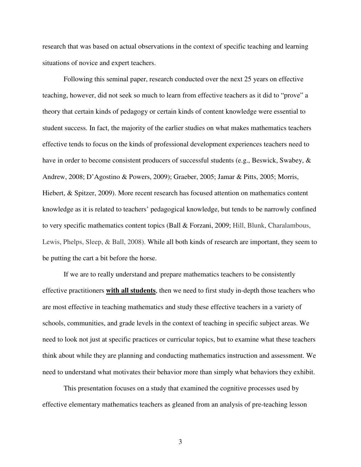research that was based on actual observations in the context of specific teaching and learning situations of novice and expert teachers.

 Following this seminal paper, research conducted over the next 25 years on effective teaching, however, did not seek so much to learn from effective teachers as it did to "prove" a theory that certain kinds of pedagogy or certain kinds of content knowledge were essential to student success. In fact, the majority of the earlier studies on what makes mathematics teachers effective tends to focus on the kinds of professional development experiences teachers need to have in order to become consistent producers of successful students (e.g., Beswick, Swabey, & Andrew, 2008; D'Agostino & Powers, 2009); Graeber, 2005; Jamar & Pitts, 2005; Morris, Hiebert, & Spitzer, 2009). More recent research has focused attention on mathematics content knowledge as it is related to teachers' pedagogical knowledge, but tends to be narrowly confined to very specific mathematics content topics (Ball & Forzani, 2009; Hill, Blunk, Charalambous, Lewis, Phelps, Sleep, & Ball, 2008). While all both kinds of research are important, they seem to be putting the cart a bit before the horse.

If we are to really understand and prepare mathematics teachers to be consistently effective practitioners **with all students**, then we need to first study in-depth those teachers who are most effective in teaching mathematics and study these effective teachers in a variety of schools, communities, and grade levels in the context of teaching in specific subject areas. We need to look not just at specific practices or curricular topics, but to examine what these teachers think about while they are planning and conducting mathematics instruction and assessment. We need to understand what motivates their behavior more than simply what behaviors they exhibit.

 This presentation focuses on a study that examined the cognitive processes used by effective elementary mathematics teachers as gleaned from an analysis of pre-teaching lesson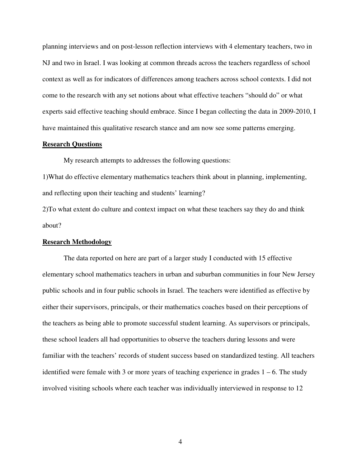planning interviews and on post-lesson reflection interviews with 4 elementary teachers, two in NJ and two in Israel. I was looking at common threads across the teachers regardless of school context as well as for indicators of differences among teachers across school contexts. I did not come to the research with any set notions about what effective teachers "should do" or what experts said effective teaching should embrace. Since I began collecting the data in 2009-2010, I have maintained this qualitative research stance and am now see some patterns emerging.

### **Research Questions**

My research attempts to addresses the following questions:

1)What do effective elementary mathematics teachers think about in planning, implementing, and reflecting upon their teaching and students' learning?

2)To what extent do culture and context impact on what these teachers say they do and think about?

#### **Research Methodology**

The data reported on here are part of a larger study I conducted with 15 effective elementary school mathematics teachers in urban and suburban communities in four New Jersey public schools and in four public schools in Israel. The teachers were identified as effective by either their supervisors, principals, or their mathematics coaches based on their perceptions of the teachers as being able to promote successful student learning. As supervisors or principals, these school leaders all had opportunities to observe the teachers during lessons and were familiar with the teachers' records of student success based on standardized testing. All teachers identified were female with 3 or more years of teaching experience in grades  $1 - 6$ . The study involved visiting schools where each teacher was individually interviewed in response to 12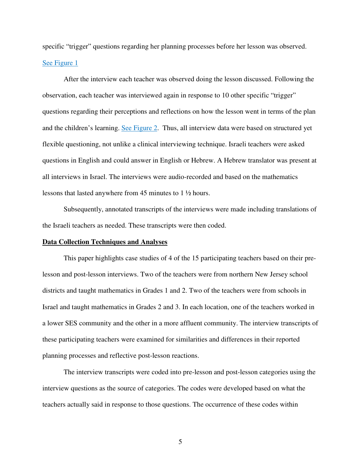specific "trigger" questions regarding her planning processes before her lesson was observed. See Figure 1

After the interview each teacher was observed doing the lesson discussed. Following the observation, each teacher was interviewed again in response to 10 other specific "trigger" questions regarding their perceptions and reflections on how the lesson went in terms of the plan and the children's learning. See Figure 2. Thus, all interview data were based on structured yet flexible questioning, not unlike a clinical interviewing technique. Israeli teachers were asked questions in English and could answer in English or Hebrew. A Hebrew translator was present at all interviews in Israel. The interviews were audio-recorded and based on the mathematics lessons that lasted anywhere from 45 minutes to 1 ½ hours.

Subsequently, annotated transcripts of the interviews were made including translations of the Israeli teachers as needed. These transcripts were then coded.

### **Data Collection Techniques and Analyses**

This paper highlights case studies of 4 of the 15 participating teachers based on their prelesson and post-lesson interviews. Two of the teachers were from northern New Jersey school districts and taught mathematics in Grades 1 and 2. Two of the teachers were from schools in Israel and taught mathematics in Grades 2 and 3. In each location, one of the teachers worked in a lower SES community and the other in a more affluent community. The interview transcripts of these participating teachers were examined for similarities and differences in their reported planning processes and reflective post-lesson reactions.

The interview transcripts were coded into pre-lesson and post-lesson categories using the interview questions as the source of categories. The codes were developed based on what the teachers actually said in response to those questions. The occurrence of these codes within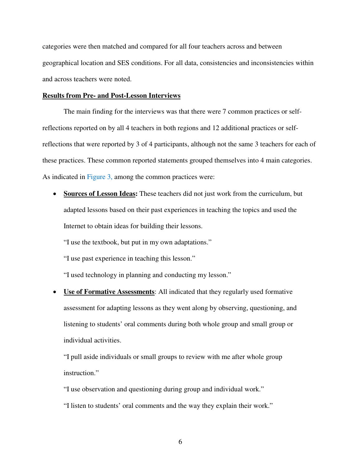categories were then matched and compared for all four teachers across and between geographical location and SES conditions. For all data, consistencies and inconsistencies within and across teachers were noted.

### **Results from Pre- and Post-Lesson Interviews**

The main finding for the interviews was that there were 7 common practices or selfreflections reported on by all 4 teachers in both regions and 12 additional practices or selfreflections that were reported by 3 of 4 participants, although not the same 3 teachers for each of these practices. These common reported statements grouped themselves into 4 main categories. As indicated in Figure 3, among the common practices were:

• **Sources of Lesson Ideas:** These teachers did not just work from the curriculum, but adapted lessons based on their past experiences in teaching the topics and used the Internet to obtain ideas for building their lessons.

"I use the textbook, but put in my own adaptations."

"I use past experience in teaching this lesson."

"I used technology in planning and conducting my lesson."

• **Use of Formative Assessments**: All indicated that they regularly used formative assessment for adapting lessons as they went along by observing, questioning, and listening to students' oral comments during both whole group and small group or individual activities.

"I pull aside individuals or small groups to review with me after whole group instruction."

"I use observation and questioning during group and individual work."

"I listen to students' oral comments and the way they explain their work."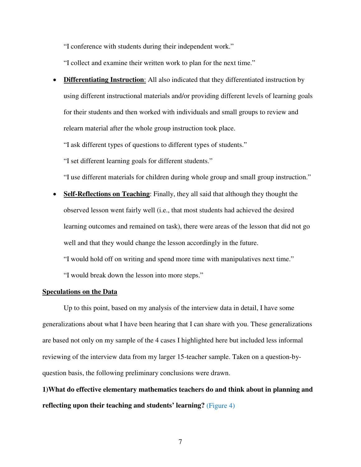"I conference with students during their independent work."

"I collect and examine their written work to plan for the next time."

• **Differentiating Instruction**: All also indicated that they differentiated instruction by using different instructional materials and/or providing different levels of learning goals for their students and then worked with individuals and small groups to review and relearn material after the whole group instruction took place.

"I ask different types of questions to different types of students."

"I set different learning goals for different students."

"I use different materials for children during whole group and small group instruction."

• **Self-Reflections on Teaching**: Finally, they all said that although they thought the observed lesson went fairly well (i.e., that most students had achieved the desired learning outcomes and remained on task), there were areas of the lesson that did not go well and that they would change the lesson accordingly in the future.

"I would hold off on writing and spend more time with manipulatives next time."

"I would break down the lesson into more steps."

### **Speculations on the Data**

 Up to this point, based on my analysis of the interview data in detail, I have some generalizations about what I have been hearing that I can share with you. These generalizations are based not only on my sample of the 4 cases I highlighted here but included less informal reviewing of the interview data from my larger 15-teacher sample. Taken on a question-byquestion basis, the following preliminary conclusions were drawn.

**1)What do effective elementary mathematics teachers do and think about in planning and reflecting upon their teaching and students' learning?** (Figure 4)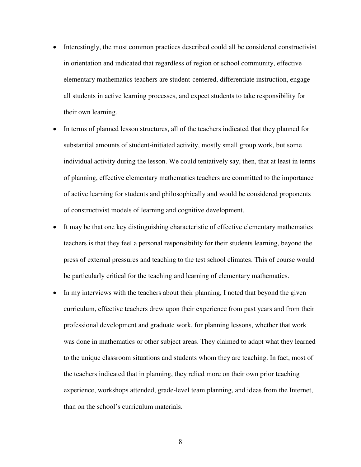- Interestingly, the most common practices described could all be considered constructivist in orientation and indicated that regardless of region or school community, effective elementary mathematics teachers are student-centered, differentiate instruction, engage all students in active learning processes, and expect students to take responsibility for their own learning.
- In terms of planned lesson structures, all of the teachers indicated that they planned for substantial amounts of student-initiated activity, mostly small group work, but some individual activity during the lesson. We could tentatively say, then, that at least in terms of planning, effective elementary mathematics teachers are committed to the importance of active learning for students and philosophically and would be considered proponents of constructivist models of learning and cognitive development.
- It may be that one key distinguishing characteristic of effective elementary mathematics teachers is that they feel a personal responsibility for their students learning, beyond the press of external pressures and teaching to the test school climates. This of course would be particularly critical for the teaching and learning of elementary mathematics.
- In my interviews with the teachers about their planning, I noted that beyond the given curriculum, effective teachers drew upon their experience from past years and from their professional development and graduate work, for planning lessons, whether that work was done in mathematics or other subject areas. They claimed to adapt what they learned to the unique classroom situations and students whom they are teaching. In fact, most of the teachers indicated that in planning, they relied more on their own prior teaching experience, workshops attended, grade-level team planning, and ideas from the Internet, than on the school's curriculum materials.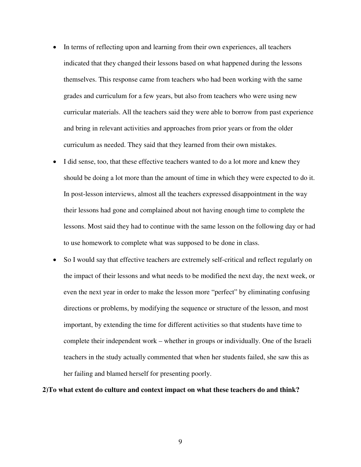- In terms of reflecting upon and learning from their own experiences, all teachers indicated that they changed their lessons based on what happened during the lessons themselves. This response came from teachers who had been working with the same grades and curriculum for a few years, but also from teachers who were using new curricular materials. All the teachers said they were able to borrow from past experience and bring in relevant activities and approaches from prior years or from the older curriculum as needed. They said that they learned from their own mistakes.
- I did sense, too, that these effective teachers wanted to do a lot more and knew they should be doing a lot more than the amount of time in which they were expected to do it. In post-lesson interviews, almost all the teachers expressed disappointment in the way their lessons had gone and complained about not having enough time to complete the lessons. Most said they had to continue with the same lesson on the following day or had to use homework to complete what was supposed to be done in class.
- So I would say that effective teachers are extremely self-critical and reflect regularly on the impact of their lessons and what needs to be modified the next day, the next week, or even the next year in order to make the lesson more "perfect" by eliminating confusing directions or problems, by modifying the sequence or structure of the lesson, and most important, by extending the time for different activities so that students have time to complete their independent work – whether in groups or individually. One of the Israeli teachers in the study actually commented that when her students failed, she saw this as her failing and blamed herself for presenting poorly.

### **2)To what extent do culture and context impact on what these teachers do and think?**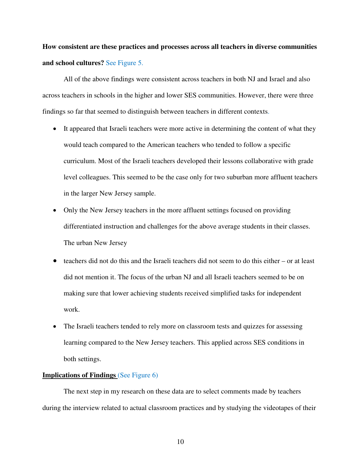**How consistent are these practices and processes across all teachers in diverse communities and school cultures?** See Figure 5.

All of the above findings were consistent across teachers in both NJ and Israel and also across teachers in schools in the higher and lower SES communities. However, there were three findings so far that seemed to distinguish between teachers in different contexts.

- It appeared that Israeli teachers were more active in determining the content of what they would teach compared to the American teachers who tended to follow a specific curriculum. Most of the Israeli teachers developed their lessons collaborative with grade level colleagues. This seemed to be the case only for two suburban more affluent teachers in the larger New Jersey sample.
- Only the New Jersey teachers in the more affluent settings focused on providing differentiated instruction and challenges for the above average students in their classes. The urban New Jersey
- $\bullet$  teachers did not do this and the Israeli teachers did not seem to do this either or at least did not mention it. The focus of the urban NJ and all Israeli teachers seemed to be on making sure that lower achieving students received simplified tasks for independent work.
- The Israeli teachers tended to rely more on classroom tests and quizzes for assessing learning compared to the New Jersey teachers. This applied across SES conditions in both settings.

#### **Implications of Findings** (See Figure 6)

 The next step in my research on these data are to select comments made by teachers during the interview related to actual classroom practices and by studying the videotapes of their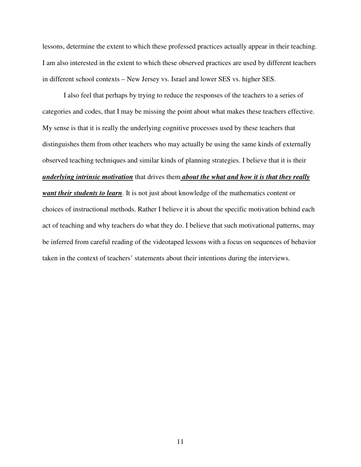lessons, determine the extent to which these professed practices actually appear in their teaching. I am also interested in the extent to which these observed practices are used by different teachers in different school contexts – New Jersey vs. Israel and lower SES vs. higher SES.

 I also feel that perhaps by trying to reduce the responses of the teachers to a series of categories and codes, that I may be missing the point about what makes these teachers effective. My sense is that it is really the underlying cognitive processes used by these teachers that distinguishes them from other teachers who may actually be using the same kinds of externally observed teaching techniques and similar kinds of planning strategies. I believe that it is their *underlying intrinsic motivation* that drives them *about the what and how it is that they really want their students to learn*. It is not just about knowledge of the mathematics content or choices of instructional methods. Rather I believe it is about the specific motivation behind each act of teaching and why teachers do what they do. I believe that such motivational patterns, may be inferred from careful reading of the videotaped lessons with a focus on sequences of behavior taken in the context of teachers' statements about their intentions during the interviews.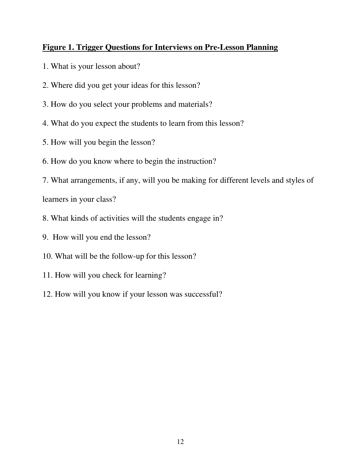# **Figure 1. Trigger Questions for Interviews on Pre-Lesson Planning**

- 1. What is your lesson about?
- 2. Where did you get your ideas for this lesson?
- 3. How do you select your problems and materials?
- 4. What do you expect the students to learn from this lesson?
- 5. How will you begin the lesson?
- 6. How do you know where to begin the instruction?
- 7. What arrangements, if any, will you be making for different levels and styles of

learners in your class?

- 8. What kinds of activities will the students engage in?
- 9. How will you end the lesson?
- 10. What will be the follow-up for this lesson?
- 11. How will you check for learning?
- 12. How will you know if your lesson was successful?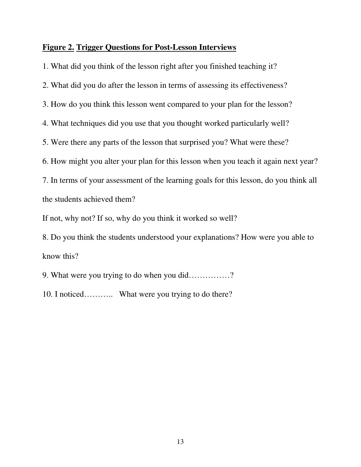## **Figure 2. Trigger Questions for Post-Lesson Interviews**

1. What did you think of the lesson right after you finished teaching it? 2. What did you do after the lesson in terms of assessing its effectiveness? 3. How do you think this lesson went compared to your plan for the lesson? 4. What techniques did you use that you thought worked particularly well? 5. Were there any parts of the lesson that surprised you? What were these? 6. How might you alter your plan for this lesson when you teach it again next year? 7. In terms of your assessment of the learning goals for this lesson, do you think all the students achieved them? If not, why not? If so, why do you think it worked so well? 8. Do you think the students understood your explanations? How were you able to know this?

9. What were you trying to do when you did……………?

10. I noticed……….. What were you trying to do there?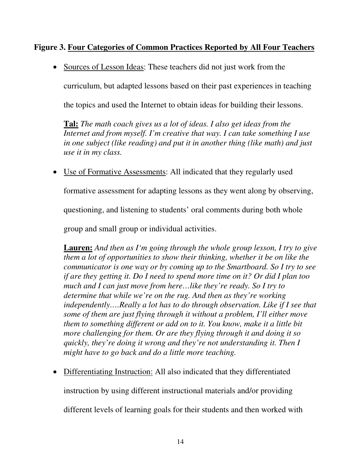# **Figure 3. Four Categories of Common Practices Reported by All Four Teachers**

• Sources of Lesson Ideas: These teachers did not just work from the

curriculum, but adapted lessons based on their past experiences in teaching

the topics and used the Internet to obtain ideas for building their lessons.

**Tal:** *The math coach gives us a lot of ideas. I also get ideas from the Internet and from myself. I'm creative that way. I can take something I use in one subject (like reading) and put it in another thing (like math) and just use it in my class.* 

• Use of Formative Assessments: All indicated that they regularly used

formative assessment for adapting lessons as they went along by observing,

questioning, and listening to students' oral comments during both whole

group and small group or individual activities.

**Lauren:** *And then as I'm going through the whole group lesson, I try to give them a lot of opportunities to show their thinking, whether it be on like the communicator is one way or by coming up to the Smartboard. So I try to see if are they getting it. Do I need to spend more time on it? Or did I plan too much and I can just move from here…like they're ready. So I try to determine that while we're on the rug. And then as they're working independently….Really a lot has to do through observation. Like if I see that some of them are just flying through it without a problem, I'll either move them to something different or add on to it. You know, make it a little bit more challenging for them. Or are they flying through it and doing it so quickly, they're doing it wrong and they're not understanding it. Then I might have to go back and do a little more teaching.* 

• Differentiating Instruction: All also indicated that they differentiated

instruction by using different instructional materials and/or providing

different levels of learning goals for their students and then worked with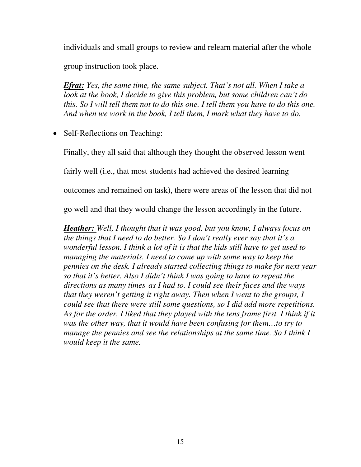individuals and small groups to review and relearn material after the whole

group instruction took place.

*Efrat: Yes, the same time, the same subject. That's not all. When I take a look at the book, I decide to give this problem, but some children can't do this. So I will tell them not to do this one. I tell them you have to do this one. And when we work in the book, I tell them, I mark what they have to do.* 

# • Self-Reflections on Teaching:

Finally, they all said that although they thought the observed lesson went fairly well (i.e., that most students had achieved the desired learning outcomes and remained on task), there were areas of the lesson that did not go well and that they would change the lesson accordingly in the future.

*Heather: Well, I thought that it was good, but you know, I always focus on the things that I need to do better. So I don't really ever say that it's a wonderful lesson. I think a lot of it is that the kids still have to get used to managing the materials. I need to come up with some way to keep the pennies on the desk. I already started collecting things to make for next year so that it's better. Also I didn't think I was going to have to repeat the directions as many times as I had to. I could see their faces and the ways that they weren't getting it right away. Then when I went to the groups, I could see that there were still some questions, so I did add more repetitions.*  As for the order, I liked that they played with the tens frame first. I think if it  *was the other way, that it would have been confusing for them…to try to manage the pennies and see the relationships at the same time. So I think I would keep it the same.*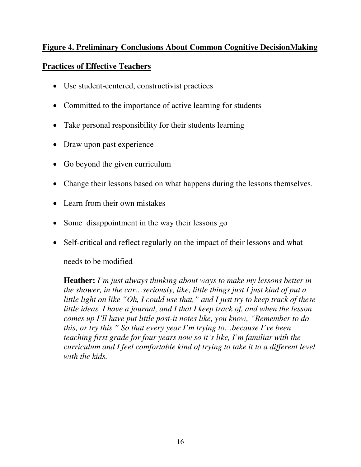# **Figure 4. Preliminary Conclusions About Common Cognitive DecisionMaking**

# **Practices of Effective Teachers**

- Use student-centered, constructivist practices
- Committed to the importance of active learning for students
- Take personal responsibility for their students learning
- Draw upon past experience
- Go beyond the given curriculum
- Change their lessons based on what happens during the lessons themselves.
- Learn from their own mistakes
- Some disappointment in the way their lessons go
- Self-critical and reflect regularly on the impact of their lessons and what

needs to be modified

**Heather:** *I'm just always thinking about ways to make my lessons better in the shower, in the car…seriously, like, little things just I just kind of put a little light on like "Oh, I could use that," and I just try to keep track of these little ideas. I have a journal, and I that I keep track of, and when the lesson comes up I'll have put little post-it notes like, you know, "Remember to do this, or try this." So that every year I'm trying to…because I've been teaching first grade for four years now so it's like, I'm familiar with the curriculum and I feel comfortable kind of trying to take it to a different level with the kids.*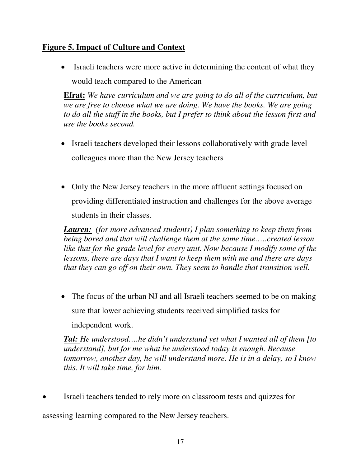# **Figure 5. Impact of Culture and Context**

• Israeli teachers were more active in determining the content of what they would teach compared to the American

**Efrat:** *We have curriculum and we are going to do all of the curriculum, but we are free to choose what we are doing. We have the books. We are going to do all the stuff in the books, but I prefer to think about the lesson first and use the books second.* 

- Israeli teachers developed their lessons collaboratively with grade level colleagues more than the New Jersey teachers
- Only the New Jersey teachers in the more affluent settings focused on providing differentiated instruction and challenges for the above average students in their classes.

*Lauren: (for more advanced students) I plan something to keep them from being bored and that will challenge them at the same time…..created lesson like that for the grade level for every unit. Now because I modify some of the lessons, there are days that I want to keep them with me and there are days that they can go off on their own. They seem to handle that transition well.* 

• The focus of the urban NJ and all Israeli teachers seemed to be on making sure that lower achieving students received simplified tasks for independent work.

*Tal: He understood….he didn't understand yet what I wanted all of them [to understand], but for me what he understood today is enough. Because tomorrow, another day, he will understand more. He is in a delay, so I know this. It will take time, for him.* 

• Israeli teachers tended to rely more on classroom tests and quizzes for assessing learning compared to the New Jersey teachers.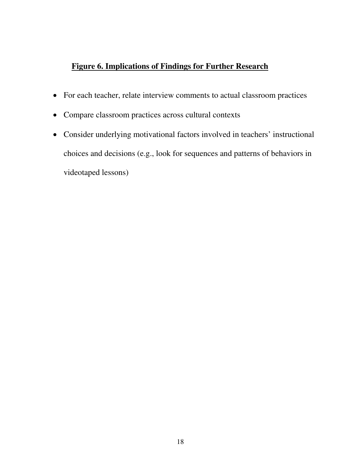# **Figure 6. Implications of Findings for Further Research**

- For each teacher, relate interview comments to actual classroom practices
- Compare classroom practices across cultural contexts
- Consider underlying motivational factors involved in teachers' instructional choices and decisions (e.g., look for sequences and patterns of behaviors in videotaped lessons)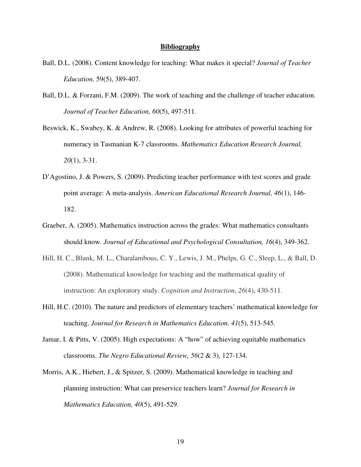### **Bibliography**

- Ball, D.L. (2008). Content knowledge for teaching: What makes it special? *Journal of Teacher Education,* 59(5), 389-407.
- Ball, D.L. & Forzani, F.M. (2009). The work of teaching and the challenge of teacher education. *Journal of Teacher Education, 60*(5), 497-511.
- Beswick, K., Swabey, K. & Andrew, R. (2008). Looking for attributes of powerful teaching for numeracy in Tasmanian K-7 classrooms. *Mathematics Education Research Journal, 20*(1), 3-31.
- D'Agostino, J. & Powers, S. (2009). Predicting teacher performance with test scores and grade point average: A meta-analysis. *American Educational Research Journal, 46*(1), 146- 182.
- Graeber, A. (2005). Mathematics instruction across the grades: What mathematics consultants should know. *Journal of Educational and Psychological Consultation, 16*(4), 349-362.
- Hill, H. C., Blunk, M. L., Charalambous, C. Y., Lewis, J. M., Phelps, G. C., Sleep, L., & Ball, D. (2008). Mathematical knowledge for teaching and the mathematical quality of instruction: An exploratory study. *Cognition and Instruction*, *26*(4), 430-511.
- Hill, H.C. (2010). The nature and predictors of elementary teachers' mathematical knowledge for teaching. *Journal for Research in Mathematics Education. 41*(5), 513-545.
- Jamar, I. & Pitts, V. (2005). High expectations: A "how" of achieving equitable mathematics classrooms. *The Negro Educational Review, 56*(2 & 3), 127-134.
- Morris, A.K., Hiebert, J., & Spitzer, S. (2009). Mathematical knowledge in teaching and planning instruction: What can preservice teachers learn? *Journal for Research in Mathematics Education, 40*(5), 491-529.